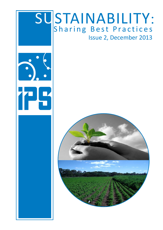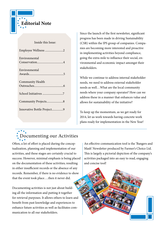

#### Inside this Issue:

| Employee Wellness 2        |
|----------------------------|
| Environmental              |
|                            |
| Environmental              |
|                            |
| <b>Community Health</b>    |
|                            |
| School Initiatives 7       |
|                            |
| Innovative Bottle Project9 |

Since the launch of the first newsletter, significant progress has been made in driving Sustainability (CSR) within the IPS group of companies. Companies are becoming more interested and proactive in implementing activities beyond compliance, going the extra mile to influence their social, environmental and economic impact amongst their stakeholders.

While we continue to address internal stakeholder needs, we need to address external stakeholder needs as well…What are the local community needs where your company operates? How can we address these in a manner that enhances value and allows for sustainability of the initiative?

To keep up the momentum, as we get ready for 2014, let us work towards having concrete work plans ready for implementation in the New Year!

### Documenting our Activities

Often, a lot of effort is placed during the conceptualization, planning and implementation of our activities, and these stages are certainly crucial to success. However, minimal emphasis is being placed on the documentation of these activities; resulting in either insufficient records or the absence of any records. Remember, if there is no evidence to show that the event took place….then it never did.

Documenting activities is not just about building all the information and putting it together for retrieval purposes. It allows others to learn and benefit from past knowledge and experiences to enhance future activities as well as facilitates communication to all our stakeholders.

An effective communication tool is the 'Bangers and Mash' Newsletter produced by Farmer's Choice Ltd. This is largely a pictorial depiction of the company's activities packaged into an easy to read, engaging and concise tool!

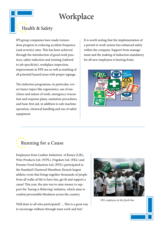### Workplace



IPS group companies have made tremendous progress in reducing accident frequency (and severity) rates. This has been achieved through the introduction of good work practices, safety induction and training (tailored to job specificity), workplace inspection, improvement in PPE use as well as marking of all potential hazard areas with proper signage.

The induction programme, in particular, covers basics topics like ergonomics, use of machines and nature of work, emergency evacuation and response plans, sanitation procedures and basic first aid, in addition to safe machine operation, chemical handling and use of safety equipment.

It is worth noting that the implementation of a permit to work system has enhanced safety within the company. Support from management and the making of induction mandatory for all new employees is bearing fruits.





Employees from Leather Industries of Kenya (LIK), Wire Products Ltd. (WPL), Frigoken Ltd. (FKL) and Premier Food Industries Ltd. (PFIL) participated in the Standard Chartered Marathon; Kenya's largest athletic event that brings together thousands of people from all walks of life to have fun, get fit and support a cause! This year, the aim was to raise money to support the 'Seeing is Believing' initiative, which aims to combat preventable blindness across the country.

Well done to all who participated! ... This is a great way to encourage wellness through team work and fun!



*FKL employees at the finish line*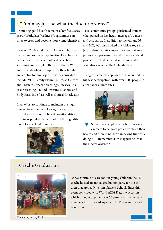#### "Fun may just be what the doctor ordered"

Promoting good health remains a key focus area as our Workplace Wellness Programmes continue to grow and become more comprehensive.

Farmer's Choice Ltd. (FCL), for example, organizes annual wellness days inviting local healthcare service providers to offer diverse health screenings on site (at both their Kahawa West and Uplands sites) to employees, their families and contractor employees. Services provided include: VCT, Family Planning, Breast, Cervical and Prostate Cancer Screenings, Lifestyle Disease Screenings (Blood Pressure, Diabetes and Body Mass Index) as well as Optical Check-ups.

In an effort to continue to maintain the high interest from their employees, this year, apart from the inclusion of a blood donation drive FCL incorporated elements of fun through different forms of entertainment.



Local community groups performed dramas (that passed on key health messages), dances and acrobatics. In addition to the vibrant DJ and MC, FCL also invited the Africa Yoga Project to demonstrate simple stretches that employees can perform to avoid musculoskeletal problems. Child centered screening and fun was, also, availed at the Uplands farm.

Using this creative approach, FCL recorded its highest participation, with over 1700 people in attendance at both sites!



Sometimes people need a little encour- $\bullet$ agement to be more proactive about their health and there is no harm in having fun while doing it…. Remember 'Fun may just be what the Doctor ordered'!

#### Crèche Graduation



Graduating class of 2013

As we continue to care for our young children, the FKL crèche hosted an annual graduation party for the children that are ready to join Nursery School. Since this event coincided with World AIDS Day, the occasion which brought together over 50 parents and other staff members incorporated aspects of HIV prevention and education.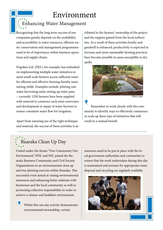### Environment

 $\bullet$ 

### Enhancing Water Management

Recognizing that the long term success of our companies greatly depends on the availability and accessibility to water resources, efficient water conservation and management programmes need to be of importance within business operations and supply chains.

Frigoken Ltd. (FKL), for example, has embarked on implementing multiple water initiatives to assist small scale farmers access sufficient water for efficient and effective farming thereby maximizing yields. Examples include: piloting rain water harvesting units; setting up water pans – currently 1250 farmers have been supplied with material to construct such mini-reservoirs; and development or repair of water furrows to ensure consistent water flow for irrigation.

Apart from ensuring use of the right technique and material, the success of these activities is attributed to the farmers' ownership of the project and the support gained from the local authorities. As a result of these activities loyalty and goodwill is enhanced, productivity is expected to increase and more sustainable farming practices have become possible in areas susceptible to dry spells.



*Water pan*

4

Remember to work closely with the community to identify ways to effectively commence or scale up these type of initiatives that will result in a mutual benefit.

## Ruaraka Clean Up Day

United under the theme "One Community Our Environment", PFIL and FKL joined the Ruaraka Business Community and Civil Society Organisations in an environmental clean up and tree planting exercise within Ruaraka. This successful event aimed at raising environmental awareness and enhancing better relations with businesses and the local community as well as promoting collective responsibility in order to achieve a cleaner and healthier environment.

Ю Whilst this one day activity demonstrates environmental stewardship, certain

measures need to be put in place with the local government authorities and community to ensure that the work undertaken during this day is maintained and avenues for appropriate waste disposal and recycling are regularly available.

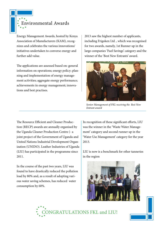

Energy Management Awards, hosted by Kenya Association of Manufacturers (KAM), recognizes and celebrates the various innovations/ initiatives undertaken to converse energy and further add value.

The applications are assessed based on: general information on operations; energy policy; planning and implementation of energy management activities; aggregate energy performance; achievements in energy management; innovations and best practises.

2013 saw the highest number of applicants, including Frigoken Ltd. , which was recognised for two awards, namely, 1st Runner up in the large companies 'Fuel Savings' category and the winner of the 'Best New Entrants' award.



*Senior Management of FKL receiving the Best New Entrant award*

The Resource Efficient and Cleaner Production (RECP) awards are annually organised by the Uganda Cleaner Production Centre (- a joint project of the Government of Uganda and United Nations Industrial Development Organization (UNIDO). Leather Industries of Uganda (LIU) has participated in the programme since 2011.

In the course of the past two years, LIU was found to have drastically reduced the pollution load by 80% and, as a result of adopting various water saving schemes, has reduced water consumption by 60%.

In recognition of these significant efforts, LIU was the winner in the 'Waste Water Management' category and second runner up in the 'Water Use Management' category for the year 2013.

LIU is now is a benchmark for other tanneries in the region



5

DNGRATULATIONS FKL and LIU!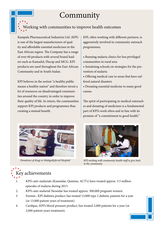### Community

#### Working with communities to improve health outcomes

Kampala Pharmaceutical Industries Ltd. (KPI) is one of the largest manufacturers of quality and affordable essential medicines in the East African region. The Company has a range of over 60 products with several brand leaders such as Kamadol, Flucap and MCG. KPI products are used throughout the East African Community and in South Sudan.

KPI believes in the notion "a healthy public means a healthy nation" and therefore invest a lot of resources on disadvantaged communities around the country in order to improve their quality of life. In return, the communities support KPI products and programmes thus creating a mutual benefit.

KPI, often working with different partners, is aggressively involved in community outreach programmes;

- Running malaria clinics for less privileged communities in rural area
- Sensitising schools on strategies for the prevention of malaria
- Offering medical care to areas that have suffered natural disasters
- Donating essential medicine to many good causes.

The spirit of participating in medical outreaches and donating of medicines is a fundamental part of KPI's work ethos and in line with its promise of "a commitment to good health."





*Donations of drugs to MulagoReferral Hospital KPI working with community health staff to give back to the community*

6

### Key achievements

- 1. KPI's anti-malarials (Kamsidar, Quinine, ACT's) have treated approx. 3.5 million episodes of malaria during 2013.
- 2. KPI's anti-malarial Neosidar has treated approx. 300,000 pregnant women.
- 3. Formin , KPI diabetes product, has treated 13,000 type 2 diabetic patients for a year (or 13,000 patient years of treatment).
- 4. Cardipac, KPI's blood pressure product, has treated 2,000 patients for a year (or 2,000 patient years treatment).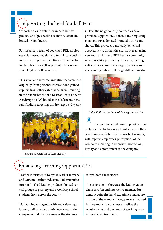### Supporting the local football team

Opportunities to volunteer in community projects and 'give back to society' is often embraced by employees.

For instance, a team of dedicated FKL employees volunteered regularly to train local youth in football during their own time in an effort to nurture talent as well as prevent idleness and avoid High Risk Behaviours.

This small and informal initiative that stemmed originally from personal interest, soon gained support from other external partners resulting in the establishment of a Kasarani Youth Soccer Academy (KYSA) based at the Safaricom Kasarani Stadium targeting children aged 6-23years.



Kasarani Football Youth Team (KFYT)

Of late, the neighbouring companies have provided support; FKL donated training equipment and PFIL donated branded t-shirts and shorts. This provides a mutually beneficial opportunity such that the grassroot team gains new football kits and PFIL builds community relations while promoting its brands, gaining nationwide exposure via league games as well as obtaining publicity through different media.



*GM of PFIL donates branded Peptang kits to KYSA*

Encouraging employees to provide input

 $\bullet$ 

on types of activities as well participate in these community activities (in a consistent manner) will improve employees' perceptions of the company, resulting in improved motivation, loyalty and commitment to the company.

### Enhancing Learning Opportunities

Leather industries of Kenya (a leather tannery) and African Leather Industries Ltd. (manufacturer of finished leather products) hosted several groups of primary and secondary school students from across the county.

Maintaining stringent health and safety regulations, staff provided a brief overview of the companies and the processes as the students

toured both the factories.

The visits aim to showcase the leather value chain in a fun and interactive manner. Students acquire firsthand experience and appreciation of the manufacturing process involved in the production of shoes as well as the requirements and demands of working in an industrial environment.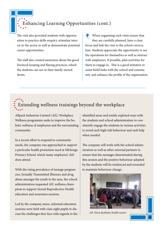Enhancing Learning Opportunities (cont.)

The visit also provided students with opportunities to practice skills enquiry, stimulate interest in the sector as well as demonstrate potential career opportunities.

The staff also created awareness about the good livestock keeping and flaying practices, which the students can use in their family owned farms.

When organising such visits ensure that they are carefully planned, have a clear focus and link the visit to the school curriculum. Students appreciate the opportunity to see the operations for themselves as well as interact with employees. If possible, plan activities for them to engage in. This is a good initiative to assist build links with the school and community and enhance the profile of the organisation.

# Extending wellness trainings beyond the workplace

Allpack Industries Limited (AIL) Workplace Wellness programme seeks to improve the holistic wellness of employees and the surrounding community.

In a recent effort to respond to community needs, the company was approached to support a particular health promotion need at Mlolongo Primary School, which many employees' children attend.

With the rising prevalence of teenage pregnancies, Sexually Transmitted Illnesses and drug abuse amongst the youth in the area, the school administration requested AIL wellness champions to support Sexual Reproductive Health education and awareness sessions.

Led by the company nurse, informal education sessions were held with class eight pupils to discuss the challenges they face with regards to the identified areas and jointly explored ways with the students and school administration to consistently engage the students in various activities to avoid such high risk behaviour and seek help when needed.

The company will work with the school administration as well as other external partners to ensure that the messages disseminated during this session and the positive behaviour adopted by the students will be reinforced and rewarded to maintain behaviour change.



*AIL Nurse facilitates health session*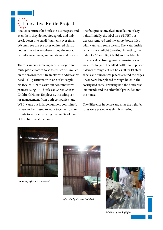It takes centuries for bottles to disintegrate and even then, they do not biodegrade and only break down into small fragments over time. We often see the eye sores of littered plastic bottles almost everywhere; along the roads, landfills water ways, gutters, rivers and oceans. Innovative Bottle Project

There is an ever growing need to recycle and reuse plastic bottles so as to reduce our impact on the environment. In an effort to address this need, FCL partnered with one of its suppliers (Sealed Air) to carry out two innovative projects using PET bottles at Christ Church Children's Home. Employees, including senior management, from both companies (and WPL) came out in large numbers committed, driven and enthused to work together to contribute towards enhancing the quality of lives of the children at the home.

The first project involved installation of day lights. Initially, the label on 1.5L PET bottles was removed and the empty bottle filled with water and some bleach. The water inside refracts the sunlight (creating, in testing, the light of a 50 watt light bulb) and the bleach prevents algae from growing ensuring clear water for longer. The filled bottles were pushed halfway through cut out holes 2ft by 1ft steel sheets and silicon was placed around the edges. These were later placed through holes in the corrugated roofs, ensuring half the bottle was left outside and the other half protruded into the house.

The difference in before and after the light features were placed was simply amazing!



*Before daylights were installed*



*After daylights were installed*



*Making of the daylights*